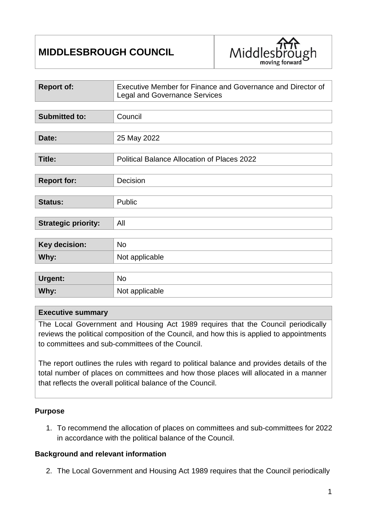# **MIDDLESBROUGH COUNCIL**



| <b>Report of:</b>          | Executive Member for Finance and Governance and Director of<br><b>Legal and Governance Services</b> |
|----------------------------|-----------------------------------------------------------------------------------------------------|
|                            |                                                                                                     |
| <b>Submitted to:</b>       | Council                                                                                             |
|                            |                                                                                                     |
| Date:                      | 25 May 2022                                                                                         |
|                            |                                                                                                     |
| Title:                     | <b>Political Balance Allocation of Places 2022</b>                                                  |
|                            |                                                                                                     |
| <b>Report for:</b>         | Decision                                                                                            |
|                            |                                                                                                     |
| <b>Status:</b>             | Public                                                                                              |
|                            |                                                                                                     |
| <b>Strategic priority:</b> | All                                                                                                 |
|                            |                                                                                                     |
| <b>Key decision:</b>       | <b>No</b>                                                                                           |
| Why:                       | Not applicable                                                                                      |
|                            |                                                                                                     |
| <b>Urgent:</b>             | <b>No</b>                                                                                           |
| Why:                       | Not applicable                                                                                      |

### **Executive summary**

The Local Government and Housing Act 1989 requires that the Council periodically reviews the political composition of the Council, and how this is applied to appointments to committees and sub-committees of the Council.

The report outlines the rules with regard to political balance and provides details of the total number of places on committees and how those places will allocated in a manner that reflects the overall political balance of the Council.

### **Purpose**

1. To recommend the allocation of places on committees and sub-committees for 2022 in accordance with the political balance of the Council.

### **Background and relevant information**

2. The Local Government and Housing Act 1989 requires that the Council periodically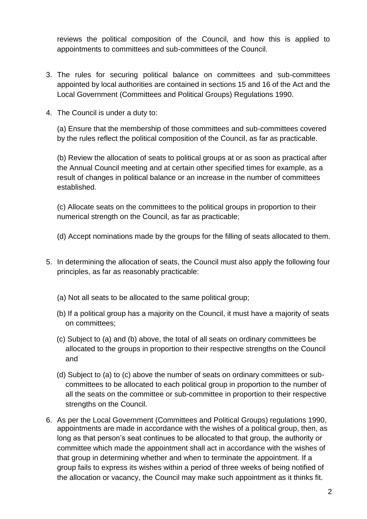reviews the political composition of the Council, and how this is applied to appointments to committees and sub-committees of the Council.

- 3. The rules for securing political balance on committees and sub-committees appointed by local authorities are contained in sections 15 and 16 of the Act and the Local Government (Committees and Political Groups) Regulations 1990.
- 4. The Council is under a duty to:

(a) Ensure that the membership of those committees and sub-committees covered by the rules reflect the political composition of the Council, as far as practicable.

(b) Review the allocation of seats to political groups at or as soon as practical after the Annual Council meeting and at certain other specified times for example, as a result of changes in political balance or an increase in the number of committees established.

(c) Allocate seats on the committees to the political groups in proportion to their numerical strength on the Council, as far as practicable;

(d) Accept nominations made by the groups for the filling of seats allocated to them.

- 5. In determining the allocation of seats, the Council must also apply the following four principles, as far as reasonably practicable:
	- (a) Not all seats to be allocated to the same political group;
	- (b) If a political group has a majority on the Council, it must have a majority of seats on committees;
	- (c) Subject to (a) and (b) above, the total of all seats on ordinary committees be allocated to the groups in proportion to their respective strengths on the Council and
	- (d) Subject to (a) to (c) above the number of seats on ordinary committees or subcommittees to be allocated to each political group in proportion to the number of all the seats on the committee or sub-committee in proportion to their respective strengths on the Council.
- 6. As per the Local Government (Committees and Political Groups) regulations 1990, appointments are made in accordance with the wishes of a political group, then, as long as that person's seat continues to be allocated to that group, the authority or committee which made the appointment shall act in accordance with the wishes of that group in determining whether and when to terminate the appointment. If a group fails to express its wishes within a period of three weeks of being notified of the allocation or vacancy, the Council may make such appointment as it thinks fit.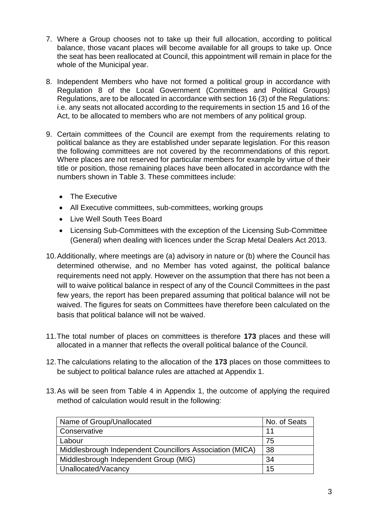- 7. Where a Group chooses not to take up their full allocation, according to political balance, those vacant places will become available for all groups to take up. Once the seat has been reallocated at Council, this appointment will remain in place for the whole of the Municipal year.
- 8. Independent Members who have not formed a political group in accordance with Regulation 8 of the Local Government (Committees and Political Groups) Regulations, are to be allocated in accordance with section 16 (3) of the Regulations: i.e. any seats not allocated according to the requirements in section 15 and 16 of the Act, to be allocated to members who are not members of any political group.
- 9. Certain committees of the Council are exempt from the requirements relating to political balance as they are established under separate legislation. For this reason the following committees are not covered by the recommendations of this report. Where places are not reserved for particular members for example by virtue of their title or position, those remaining places have been allocated in accordance with the numbers shown in Table 3. These committees include:
	- The Executive
	- All Executive committees, sub-committees, working groups
	- Live Well South Tees Board
	- Licensing Sub-Committees with the exception of the Licensing Sub-Committee (General) when dealing with licences under the Scrap Metal Dealers Act 2013.
- 10.Additionally, where meetings are (a) advisory in nature or (b) where the Council has determined otherwise, and no Member has voted against, the political balance requirements need not apply. However on the assumption that there has not been a will to waive political balance in respect of any of the Council Committees in the past few years, the report has been prepared assuming that political balance will not be waived. The figures for seats on Committees have therefore been calculated on the basis that political balance will not be waived.
- 11.The total number of places on committees is therefore **173** places and these will allocated in a manner that reflects the overall political balance of the Council.
- 12.The calculations relating to the allocation of the **173** places on those committees to be subject to political balance rules are attached at Appendix 1.
- 13.As will be seen from Table 4 in Appendix 1, the outcome of applying the required method of calculation would result in the following:

| Name of Group/Unallocated                                | No. of Seats |
|----------------------------------------------------------|--------------|
| Conservative                                             | 11           |
| Labour                                                   | 75           |
| Middlesbrough Independent Councillors Association (MICA) | 38           |
| Middlesbrough Independent Group (MIG)                    | 34           |
| Unallocated/Vacancy                                      | 15           |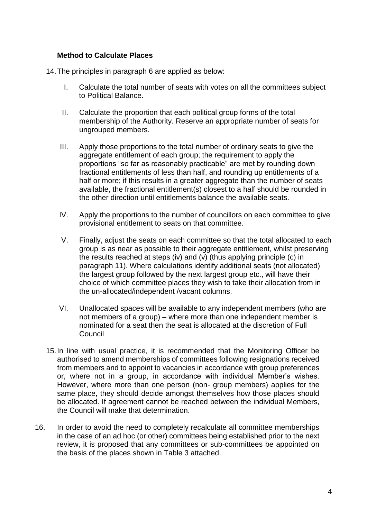## **Method to Calculate Places**

14.The principles in paragraph 6 are applied as below:

- I. Calculate the total number of seats with votes on all the committees subject to Political Balance.
- II. Calculate the proportion that each political group forms of the total membership of the Authority. Reserve an appropriate number of seats for ungrouped members.
- III. Apply those proportions to the total number of ordinary seats to give the aggregate entitlement of each group; the requirement to apply the proportions "so far as reasonably practicable" are met by rounding down fractional entitlements of less than half, and rounding up entitlements of a half or more; if this results in a greater aggregate than the number of seats available, the fractional entitlement(s) closest to a half should be rounded in the other direction until entitlements balance the available seats.
- IV. Apply the proportions to the number of councillors on each committee to give provisional entitlement to seats on that committee.
- V. Finally, adjust the seats on each committee so that the total allocated to each group is as near as possible to their aggregate entitlement, whilst preserving the results reached at steps (iv) and (v) (thus applying principle (c) in paragraph 11). Where calculations identify additional seats (not allocated) the largest group followed by the next largest group etc., will have their choice of which committee places they wish to take their allocation from in the un-allocated/independent /vacant columns.
- VI. Unallocated spaces will be available to any independent members (who are not members of a group) – where more than one independent member is nominated for a seat then the seat is allocated at the discretion of Full **Council**
- 15.In line with usual practice, it is recommended that the Monitoring Officer be authorised to amend memberships of committees following resignations received from members and to appoint to vacancies in accordance with group preferences or, where not in a group, in accordance with individual Member's wishes. However, where more than one person (non- group members) applies for the same place, they should decide amongst themselves how those places should be allocated. If agreement cannot be reached between the individual Members, the Council will make that determination.
- 16. In order to avoid the need to completely recalculate all committee memberships in the case of an ad hoc (or other) committees being established prior to the next review, it is proposed that any committees or sub-committees be appointed on the basis of the places shown in Table 3 attached.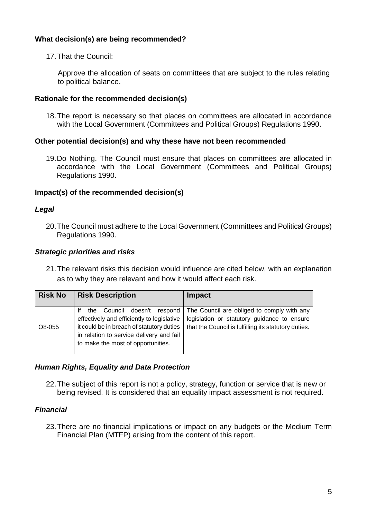## **What decision(s) are being recommended?**

17.That the Council:

Approve the allocation of seats on committees that are subject to the rules relating to political balance.

## **Rationale for the recommended decision(s)**

18.The report is necessary so that places on committees are allocated in accordance with the Local Government (Committees and Political Groups) Regulations 1990.

## **Other potential decision(s) and why these have not been recommended**

19.Do Nothing. The Council must ensure that places on committees are allocated in accordance with the Local Government (Committees and Political Groups) Regulations 1990.

## **Impact(s) of the recommended decision(s)**

### *Legal*

20.The Council must adhere to the Local Government (Committees and Political Groups) Regulations 1990.

## *Strategic priorities and risks*

21.The relevant risks this decision would influence are cited below, with an explanation as to why they are relevant and how it would affect each risk.

| <b>Risk No</b> | <b>Risk Description</b>                                                                                                                                                                                                 | <b>Impact</b>                                                                                                                                     |
|----------------|-------------------------------------------------------------------------------------------------------------------------------------------------------------------------------------------------------------------------|---------------------------------------------------------------------------------------------------------------------------------------------------|
| O8-055         | doesn't<br>Council<br>Ιf<br>the<br>respond<br>effectively and efficiently to legislative<br>it could be in breach of statutory duties<br>in relation to service delivery and fail<br>to make the most of opportunities. | The Council are obliged to comply with any<br>legislation or statutory guidance to ensure<br>that the Council is fulfilling its statutory duties. |

## *Human Rights, Equality and Data Protection*

22.The subject of this report is not a policy, strategy, function or service that is new or being revised. It is considered that an equality impact assessment is not required.

## *Financial*

23.There are no financial implications or impact on any budgets or the Medium Term Financial Plan (MTFP) arising from the content of this report.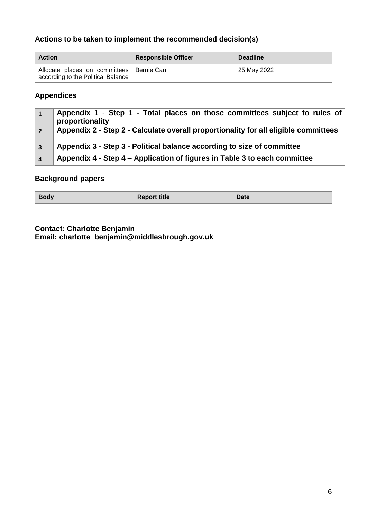## **Actions to be taken to implement the recommended decision(s)**

| <b>Action</b>                                                                     | <b>Responsible Officer</b> | <b>Deadline</b>         |
|-----------------------------------------------------------------------------------|----------------------------|-------------------------|
| Allocate places on committees   Bernie Carr<br>according to the Political Balance |                            | $\frac{1}{25}$ May 2022 |

## **Appendices**

|                         | Appendix 1 - Step 1 - Total places on those committees subject to rules of<br>proportionality |
|-------------------------|-----------------------------------------------------------------------------------------------|
| $\overline{\mathbf{2}}$ | Appendix 2 - Step 2 - Calculate overall proportionality for all eligible committees           |
| ∣3                      | Appendix 3 - Step 3 - Political balance according to size of committee                        |
| $\blacksquare$          | Appendix 4 - Step 4 – Application of figures in Table 3 to each committee                     |

## **Background papers**

| <b>Body</b> | <b>Report title</b> | <b>Date</b> |
|-------------|---------------------|-------------|
|             |                     |             |

**Contact: Charlotte Benjamin Email: charlotte\_benjamin@middlesbrough.gov.uk**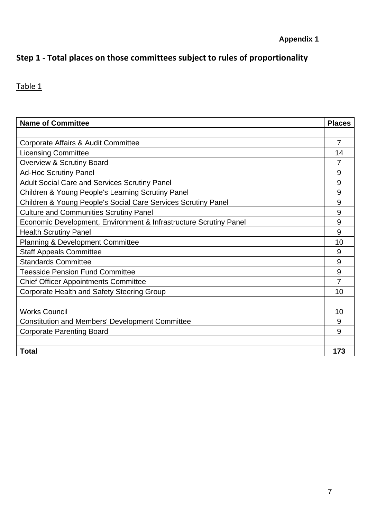## **Appendix 1**

## **Step 1 - Total places on those committees subject to rules of proportionality**

Table 1

| <b>Name of Committee</b>                                          | <b>Places</b>  |
|-------------------------------------------------------------------|----------------|
|                                                                   |                |
| Corporate Affairs & Audit Committee                               | $\overline{7}$ |
| <b>Licensing Committee</b>                                        | 14             |
| <b>Overview &amp; Scrutiny Board</b>                              | 7              |
| <b>Ad-Hoc Scrutiny Panel</b>                                      | 9              |
| Adult Social Care and Services Scrutiny Panel                     | 9              |
| Children & Young People's Learning Scrutiny Panel                 | 9              |
| Children & Young People's Social Care Services Scrutiny Panel     | 9              |
| <b>Culture and Communities Scrutiny Panel</b>                     | 9              |
| Economic Development, Environment & Infrastructure Scrutiny Panel | 9              |
| <b>Health Scrutiny Panel</b>                                      | 9              |
| <b>Planning &amp; Development Committee</b>                       | 10             |
| <b>Staff Appeals Committee</b>                                    | 9              |
| <b>Standards Committee</b>                                        | 9              |
| <b>Teesside Pension Fund Committee</b>                            | 9              |
| <b>Chief Officer Appointments Committee</b>                       | 7              |
| <b>Corporate Health and Safety Steering Group</b>                 | 10             |
|                                                                   |                |
| <b>Works Council</b>                                              | 10             |
| <b>Constitution and Members' Development Committee</b>            | 9              |
| <b>Corporate Parenting Board</b>                                  | 9              |
|                                                                   |                |
| <b>Total</b>                                                      | 173            |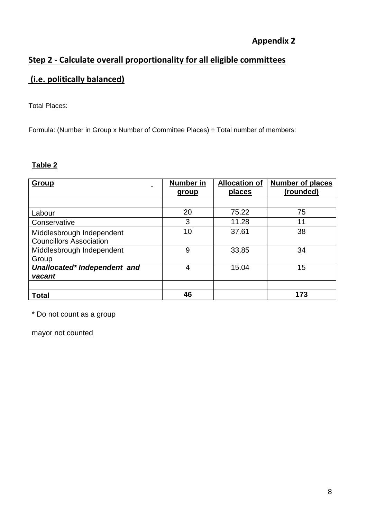## **Appendix 2**

## **Step 2 - Calculate overall proportionality for all eligible committees**

## **(i.e. politically balanced)**

## Total Places:

Formula: (Number in Group x Number of Committee Places) ÷ Total number of members:

## **Table 2**

| Group                          | <b>Number in</b><br><b>group</b> | <b>Allocation of</b><br>places | <b>Number of places</b><br>(rounded) |
|--------------------------------|----------------------------------|--------------------------------|--------------------------------------|
|                                |                                  |                                |                                      |
| Labour                         | 20                               | 75.22                          | 75                                   |
| Conservative                   | 3                                | 11.28                          | 11                                   |
| Middlesbrough Independent      | 10                               | 37.61                          | 38                                   |
| <b>Councillors Association</b> |                                  |                                |                                      |
| Middlesbrough Independent      | 9                                | 33.85                          | 34                                   |
| Group                          |                                  |                                |                                      |
| Unallocated* Independent and   | 4                                | 15.04                          | 15                                   |
| vacant                         |                                  |                                |                                      |
|                                |                                  |                                |                                      |
| <b>Total</b>                   | 46                               |                                | 173                                  |

\* Do not count as a group

mayor not counted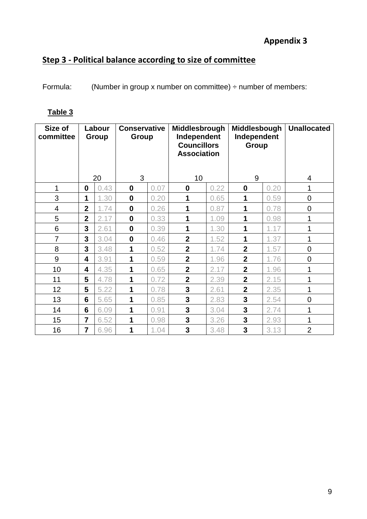## **Step 3 - Political balance according to size of committee**

Formula: (Number in group x number on committee) ÷ number of members:

| abl <u>e</u> |  |
|--------------|--|
|              |  |

| Size of<br>committee |                 | Labour<br>Middlesbrough<br><b>Conservative</b><br>Independent<br><b>Group</b><br><b>Group</b><br><b>Councillors</b><br><b>Association</b> |                  |      |                | Middlesbough<br>Independent<br>Group |                | <b>Unallocated</b> |                |
|----------------------|-----------------|-------------------------------------------------------------------------------------------------------------------------------------------|------------------|------|----------------|--------------------------------------|----------------|--------------------|----------------|
|                      | 20              |                                                                                                                                           | 3                |      |                | 10                                   |                | 9                  | $\overline{4}$ |
| 1                    | $\bf{0}$        | 0.43                                                                                                                                      | 0                | 0.07 | 0              | 0.22                                 | $\bf{0}$       | 0.20               | 1              |
| 3                    | 1               | .30                                                                                                                                       | $\mathbf 0$      | 0.20 | 1              | 0.65                                 | 1              | 0.59               | $\overline{0}$ |
| $\overline{4}$       | $\overline{2}$  | 1.74                                                                                                                                      | $\bf{0}$         | 0.26 | 1              | 0.87                                 | 1              | 0.78               | $\overline{0}$ |
| 5                    | $\overline{2}$  | 2.17                                                                                                                                      | $\mathbf 0$      | 0.33 | 1              | 1.09                                 | 1              | 0.98               | 1              |
| 6                    | 3               | 2.61                                                                                                                                      | $\boldsymbol{0}$ | 0.39 | 1              | 1.30                                 | 1              | 1.17               | 1              |
| $\overline{7}$       | 3               | 3.04                                                                                                                                      | $\bf{0}$         | 0.46 | $\overline{2}$ | 1.52                                 | 1              | 1.37               | 1              |
| 8                    | 3               | 3.48                                                                                                                                      | 1                | 0.52 | $\overline{2}$ | 1.74                                 | $\overline{2}$ | 1.57               | $\overline{0}$ |
| 9                    | 4               | 3.91                                                                                                                                      | 1                | 0.59 | $\overline{2}$ | 1.96                                 | $\overline{2}$ | 1.76               | $\overline{0}$ |
| 10                   | 4               | 4.35                                                                                                                                      | 1                | 0.65 | $\overline{2}$ | 2.17                                 | $\overline{2}$ | 1.96               | 1              |
| 11                   | 5               | 4.78                                                                                                                                      | 1                | 0.72 | $\overline{2}$ | 2.39                                 | $\overline{2}$ | 2.15               | 1              |
| 12                   | 5               | 5.22                                                                                                                                      | 1                | 0.78 | 3              | 2.61                                 | $\overline{2}$ | 2.35               | 1              |
| 13                   | 6               | 5.65                                                                                                                                      | 1                | 0.85 | $\overline{3}$ | 2.83                                 | 3              | 2.54               | $\overline{0}$ |
| 14                   | $6\phantom{1}6$ | 6.09                                                                                                                                      | 1                | 0.91 | 3              | 3.04                                 | 3              | 2.74               | 1              |
| 15                   | $\overline{7}$  | 6.52                                                                                                                                      | 1                | 0.98 | $\overline{3}$ | 3.26                                 | 3              | 2.93               | 1              |
| 16                   | 7               | 6.96                                                                                                                                      | 1                | 1.04 | 3              | 3.48                                 | $\mathbf{3}$   | 3.13               | $\overline{2}$ |